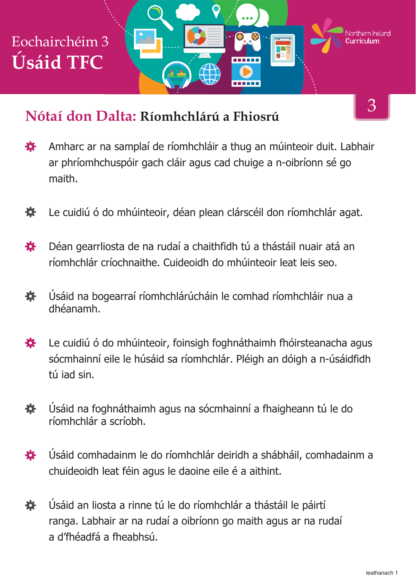

#### **Nótaí don Dalta: Ríomhchlárú a Fhiosrú**

- Amharc ar na samplaí de ríomhchláir a thug an múinteoir duit. Labhair 娄 ar phríomhchuspóir gach cláir agus cad chuige a n-oibríonn sé go maith.
- 養 Le cuidiú ó do mhúinteoir, déan plean clárscéil don ríomhchlár agat.
- Déan gearrliosta de na rudaí a chaithfidh tú a thástáil nuair atá an 養 ríomhchlár críochnaithe. Cuideoidh do mhúinteoir leat leis seo.
- 養 Úsáid na bogearraí ríomhchlárúcháin le comhad ríomhchláir nua a dhéanamh.
- Le cuidiú ó do mhúinteoir, foinsigh foghnáthaimh fhóirsteanacha agus 荟 sócmhainní eile le húsáid sa ríomhchlár. Pléigh an dóigh a n-úsáidfidh tú iad sin.
- 養 Úsáid na foghnáthaimh agus na sócmhainní a fhaigheann tú le do ríomhchlár a scríobh.
- Úsáid comhadainm le do ríomhchlár deiridh a shábháil, comhadainm a 養 chuideoidh leat féin agus le daoine eile é a aithint.
- Úsáid an liosta a rinne tú le do ríomhchlár a thástáil le páirtí 養 ranga. Labhair ar na rudaí a oibríonn go maith agus ar na rudaí a d'fhéadfá a fheabhsú.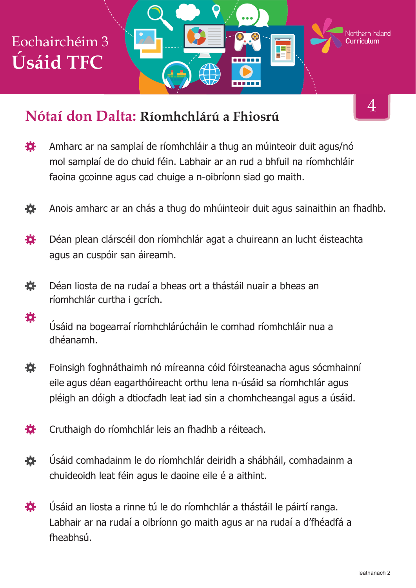# Eochairchéim 3 **Úsáid TFC**

養



- Amharc ar na samplaí de ríomhchláir a thug an múinteoir duit agus/nó 娄 mol samplaí de do chuid féin. Labhair ar an rud a bhfuil na ríomhchláir faoina gcoinne agus cad chuige a n-oibríonn siad go maith.
- Anois amharc ar an chás a thug do mhúinteoir duit agus sainaithin an fhadhb. 娄
- Déan plean clárscéil don ríomhchlár agat a chuireann an lucht éisteachta 娄 agus an cuspóir san áireamh.
- 養 Déan liosta de na rudaí a bheas ort a thástáil nuair a bheas an ríomhchlár curtha i gcrích.

Úsáid na bogearraí ríomhchlárúcháin le comhad ríomhchláir nua a dhéanamh.

- 養 Foinsigh foghnáthaimh nó míreanna cóid fóirsteanacha agus sócmhainní eile agus déan eagarthóireacht orthu lena n-úsáid sa ríomhchlár agus pléigh an dóigh a dtiocfadh leat iad sin a chomhcheangal agus a úsáid.
- 各 Cruthaigh do ríomhchlár leis an fhadhb a réiteach.
- Úsáid comhadainm le do ríomhchlár deiridh a shábháil, comhadainm a 娄 chuideoidh leat féin agus le daoine eile é a aithint.
- 娄 Úsáid an liosta a rinne tú le do ríomhchlár a thástáil le páirtí ranga. Labhair ar na rudaí a oibríonn go maith agus ar na rudaí a d'fhéadfá a fheabhsú.

4

Northern **Ir**eland

F

------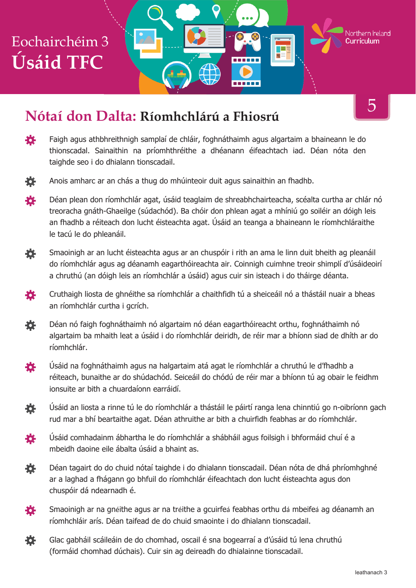## Eochairchéim 3 **Úsáid TFC**

#### **Nótaí don Dalta: Ríomhchlárú a Fhiosrú**

登 Faigh agus athbhreithnigh samplaí de chláir, foghnáthaimh agus algartaim a bhaineann le do thionscadal. Sainaithin na príomhthréithe a dhéanann éifeachtach iad. Déan nóta den taighde seo i do dhialann tionscadail.



- Déan plean don ríomhchlár agat, úsáid teaglaim de shreabhchairteacha, scéalta curtha ar chlár nó 茶 treoracha gnáth-Ghaeilge (súdachód). Ba chóir don phlean agat a mhíniú go soiléir an dóigh leis an fhadhb a réiteach don lucht éisteachta agat. Úsáid an teanga a bhaineann le ríomhchláraithe le tacú le do phleanáil.
- Smaoinigh ar an lucht éisteachta agus ar an chuspóir i rith an ama le linn duit bheith ag pleanáil 荟 do ríomhchlár agus ag déanamh eagarthóireachta air. Coinnigh cuimhne treoir shimplí d'úsáideoirí a chruthú (an dóigh leis an ríomhchlár a úsáid) agus cuir sin isteach i do tháirge déanta.
- Cruthaigh liosta de ghnéithe sa ríomhchlár a chaithfidh tú a sheiceáil nó a thástáil nuair a bheas 娄 an ríomhchlár curtha i gcrích.
- Déan nó faigh foghnáthaimh nó algartaim nó déan eagarthóireacht orthu, foghnáthaimh nó 娄 algartaim ba mhaith leat a úsáid i do ríomhchlár deiridh, de réir mar a bhíonn siad de dhíth ar do ríomhchlár.
- Úsáid na foghnáthaimh agus na halgartaim atá agat le ríomhchlár a chruthú le d'fhadhb a 娄 réiteach, bunaithe ar do shúdachód. Seiceáil do chódú de réir mar a bhíonn tú ag obair le feidhm ionsuite ar bith a chuardaíonn earráidí.
- 養 Úsáid an liosta a rinne tú le do ríomhchlár a thástáil le páirtí ranga lena chinntiú go n-oibríonn gach rud mar a bhí beartaithe agat. Déan athruithe ar bith a chuirfidh feabhas ar do ríomhchlár.
- 娄 Úsáid comhadainm ábhartha le do ríomhchlár a shábháil agus foilsigh i bhformáid chuí é a mbeidh daoine eile ábalta úsáid a bhaint as.
- 烧 Déan tagairt do do chuid nótaí taighde i do dhialann tionscadail. Déan nóta de dhá phríomhghné ar a laghad a fhágann go bhfuil do ríomhchlár éifeachtach don lucht éisteachta agus don chuspóir dá ndearnadh é.
- 娄 Smaoinigh ar na gnéithe agus ar na tréithe a gcuirfeá feabhas orthu dá mbeifeá ag déanamh an ríomhchláir arís. Déan taifead de do chuid smaointe i do dhialann tionscadail.
- Glac gabháil scáileáin de do chomhad, oscail é sna bogearraí a d'úsáid tú lena chruthú 養 (formáid chomhad dúchais). Cuir sin ag deireadh do dhialainne tionscadail.

5

Northern Ireland arriculum

ТEБ

------